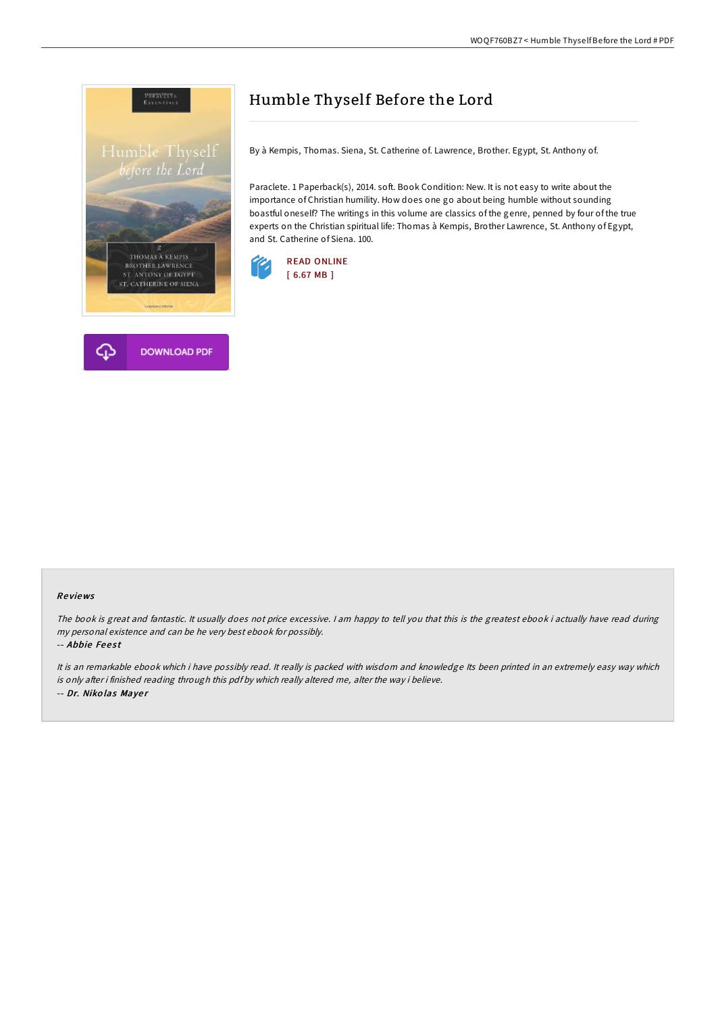



# Humble Thyself Before the Lord

By à Kempis, Thomas. Siena, St. Catherine of. Lawrence, Brother. Egypt, St. Anthony of.

Paraclete. 1 Paperback(s), 2014. soft. Book Condition: New. It is not easy to write about the importance of Christian humility. How does one go about being humble without sounding boastful oneself? The writings in this volume are classics of the genre, penned by four of the true experts on the Christian spiritual life: Thomas à Kempis, Brother Lawrence, St. Anthony of Egypt, and St. Catherine of Siena. 100.



#### Re views

The book is great and fantastic. It usually does not price excessive. I am happy to tell you that this is the greatest ebook i actually have read during my personal existence and can be he very best ebook for possibly.

-- Abbie Feest

It is an remarkable ebook which i have possibly read. It really is packed with wisdom and knowledge Its been printed in an extremely easy way which is only after i finished reading through this pdf by which really altered me, alter the way i believe. -- Dr. Niko las Maye <sup>r</sup>